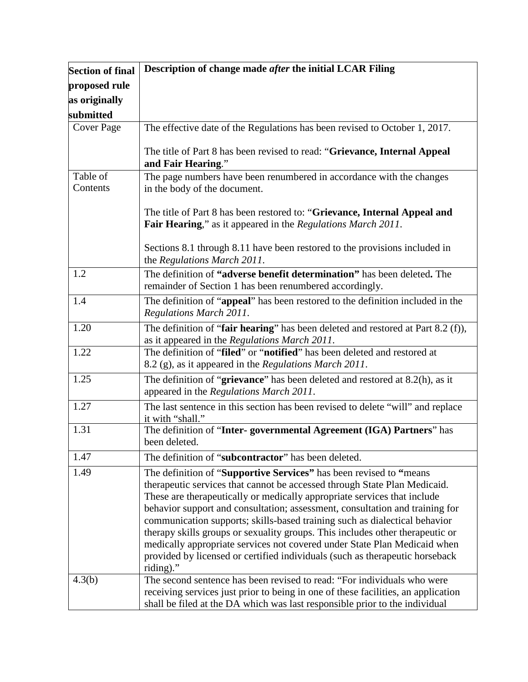| <b>Section of final</b> | Description of change made after the initial LCAR Filing                                                                                                                                                                                                                                                                                                                                                                                                                                                                                                                                                                                             |
|-------------------------|------------------------------------------------------------------------------------------------------------------------------------------------------------------------------------------------------------------------------------------------------------------------------------------------------------------------------------------------------------------------------------------------------------------------------------------------------------------------------------------------------------------------------------------------------------------------------------------------------------------------------------------------------|
| proposed rule           |                                                                                                                                                                                                                                                                                                                                                                                                                                                                                                                                                                                                                                                      |
| as originally           |                                                                                                                                                                                                                                                                                                                                                                                                                                                                                                                                                                                                                                                      |
| submitted               |                                                                                                                                                                                                                                                                                                                                                                                                                                                                                                                                                                                                                                                      |
| Cover Page              | The effective date of the Regulations has been revised to October 1, 2017.                                                                                                                                                                                                                                                                                                                                                                                                                                                                                                                                                                           |
|                         | The title of Part 8 has been revised to read: "Grievance, Internal Appeal<br>and Fair Hearing."                                                                                                                                                                                                                                                                                                                                                                                                                                                                                                                                                      |
| Table of                | The page numbers have been renumbered in accordance with the changes                                                                                                                                                                                                                                                                                                                                                                                                                                                                                                                                                                                 |
| Contents                | in the body of the document.                                                                                                                                                                                                                                                                                                                                                                                                                                                                                                                                                                                                                         |
|                         | The title of Part 8 has been restored to: "Grievance, Internal Appeal and<br>Fair Hearing," as it appeared in the Regulations March 2011.                                                                                                                                                                                                                                                                                                                                                                                                                                                                                                            |
|                         | Sections 8.1 through 8.11 have been restored to the provisions included in<br>the Regulations March 2011.                                                                                                                                                                                                                                                                                                                                                                                                                                                                                                                                            |
| 1.2                     | The definition of "adverse benefit determination" has been deleted. The<br>remainder of Section 1 has been renumbered accordingly.                                                                                                                                                                                                                                                                                                                                                                                                                                                                                                                   |
| 1.4                     | The definition of "appeal" has been restored to the definition included in the<br><b>Regulations March 2011.</b>                                                                                                                                                                                                                                                                                                                                                                                                                                                                                                                                     |
| 1.20                    | The definition of "fair hearing" has been deleted and restored at Part 8.2 (f)),<br>as it appeared in the Regulations March 2011.                                                                                                                                                                                                                                                                                                                                                                                                                                                                                                                    |
| 1.22                    | The definition of "filed" or "notified" has been deleted and restored at<br>8.2 (g), as it appeared in the Regulations March 2011.                                                                                                                                                                                                                                                                                                                                                                                                                                                                                                                   |
| 1.25                    | The definition of "grievance" has been deleted and restored at $8.2(h)$ , as it<br>appeared in the Regulations March 2011.                                                                                                                                                                                                                                                                                                                                                                                                                                                                                                                           |
| 1.27                    | The last sentence in this section has been revised to delete "will" and replace<br>it with "shall."                                                                                                                                                                                                                                                                                                                                                                                                                                                                                                                                                  |
| 1.31                    | The definition of "Inter-governmental Agreement (IGA) Partners" has<br>been deleted.                                                                                                                                                                                                                                                                                                                                                                                                                                                                                                                                                                 |
| 1.47                    | The definition of "subcontractor" has been deleted.                                                                                                                                                                                                                                                                                                                                                                                                                                                                                                                                                                                                  |
| 1.49                    | The definition of "Supportive Services" has been revised to "means<br>therapeutic services that cannot be accessed through State Plan Medicaid.<br>These are therapeutically or medically appropriate services that include<br>behavior support and consultation; assessment, consultation and training for<br>communication supports; skills-based training such as dialectical behavior<br>therapy skills groups or sexuality groups. This includes other therapeutic or<br>medically appropriate services not covered under State Plan Medicaid when<br>provided by licensed or certified individuals (such as therapeutic horseback<br>riding)." |
| 4.3(b)                  | The second sentence has been revised to read: "For individuals who were<br>receiving services just prior to being in one of these facilities, an application<br>shall be filed at the DA which was last responsible prior to the individual                                                                                                                                                                                                                                                                                                                                                                                                          |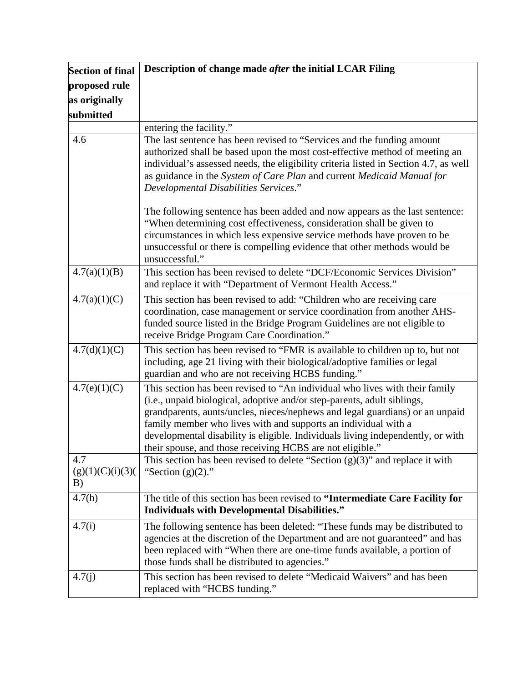| <b>Section of final</b>       | Description of change made after the initial LCAR Filing                                                                                                                                                                                                                                                                                                                                                                                                 |
|-------------------------------|----------------------------------------------------------------------------------------------------------------------------------------------------------------------------------------------------------------------------------------------------------------------------------------------------------------------------------------------------------------------------------------------------------------------------------------------------------|
| proposed rule                 |                                                                                                                                                                                                                                                                                                                                                                                                                                                          |
| as originally                 |                                                                                                                                                                                                                                                                                                                                                                                                                                                          |
| submitted                     |                                                                                                                                                                                                                                                                                                                                                                                                                                                          |
|                               | entering the facility."                                                                                                                                                                                                                                                                                                                                                                                                                                  |
| 4.6                           | The last sentence has been revised to "Services and the funding amount<br>authorized shall be based upon the most cost-effective method of meeting an<br>individual's assessed needs, the eligibility criteria listed in Section 4.7, as well<br>as guidance in the System of Care Plan and current Medicaid Manual for<br>Developmental Disabilities Services."                                                                                         |
|                               | The following sentence has been added and now appears as the last sentence:<br>"When determining cost effectiveness, consideration shall be given to<br>circumstances in which less expensive service methods have proven to be<br>unsuccessful or there is compelling evidence that other methods would be<br>unsuccessful."                                                                                                                            |
| 4.7(a)(1)(B)                  | This section has been revised to delete "DCF/Economic Services Division"<br>and replace it with "Department of Vermont Health Access."                                                                                                                                                                                                                                                                                                                   |
| 4.7(a)(1)(C)                  | This section has been revised to add: "Children who are receiving care<br>coordination, case management or service coordination from another AHS-<br>funded source listed in the Bridge Program Guidelines are not eligible to<br>receive Bridge Program Care Coordination."                                                                                                                                                                             |
| 4.7(d)(1)(C)                  | This section has been revised to "FMR is available to children up to, but not<br>including, age 21 living with their biological/adoptive families or legal<br>guardian and who are not receiving HCBS funding."                                                                                                                                                                                                                                          |
| 4.7(e)(1)(C)                  | This section has been revised to "An individual who lives with their family<br>(i.e., unpaid biological, adoptive and/or step-parents, adult siblings,<br>grandparents, aunts/uncles, nieces/nephews and legal guardians) or an unpaid<br>family member who lives with and supports an individual with a<br>developmental disability is eligible. Individuals living independently, or with<br>their spouse, and those receiving HCBS are not eligible." |
| 4.7<br>(g)(1)(C)(i)(3)(<br>B) | This section has been revised to delete "Section $(g)(3)$ " and replace it with<br>"Section $(g)(2)$ ."                                                                                                                                                                                                                                                                                                                                                  |
| 4.7(h)                        | The title of this section has been revised to "Intermediate Care Facility for<br><b>Individuals with Developmental Disabilities."</b>                                                                                                                                                                                                                                                                                                                    |
| 4.7(i)                        | The following sentence has been deleted: "These funds may be distributed to<br>agencies at the discretion of the Department and are not guaranteed" and has<br>been replaced with "When there are one-time funds available, a portion of<br>those funds shall be distributed to agencies."                                                                                                                                                               |
| 4.7(j)                        | This section has been revised to delete "Medicaid Waivers" and has been<br>replaced with "HCBS funding."                                                                                                                                                                                                                                                                                                                                                 |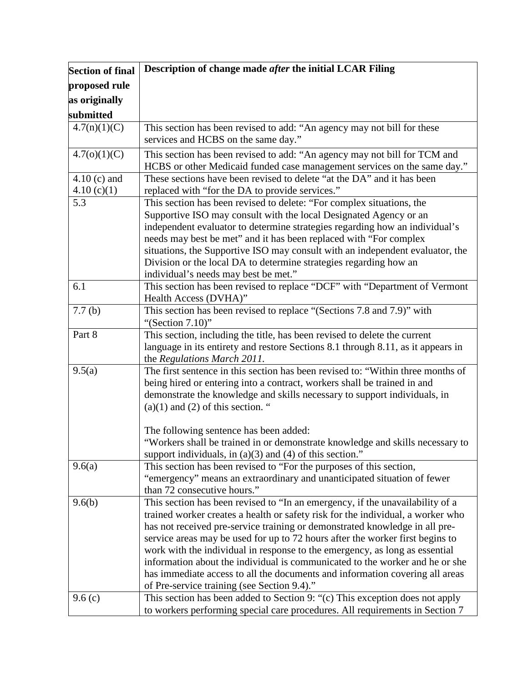| <b>Section of final</b> | Description of change made after the initial LCAR Filing                                                           |
|-------------------------|--------------------------------------------------------------------------------------------------------------------|
| proposed rule           |                                                                                                                    |
| as originally           |                                                                                                                    |
| submitted               |                                                                                                                    |
| 4.7(n)(1)(C)            | This section has been revised to add: "An agency may not bill for these                                            |
|                         | services and HCBS on the same day."                                                                                |
| 4.7(0)(1)(C)            | This section has been revised to add: "An agency may not bill for TCM and                                          |
|                         | HCBS or other Medicaid funded case management services on the same day."                                           |
| $4.10$ (c) and          | These sections have been revised to delete "at the DA" and it has been                                             |
| 4.10(c)(1)              | replaced with "for the DA to provide services."                                                                    |
| 5.3                     | This section has been revised to delete: "For complex situations, the                                              |
|                         | Supportive ISO may consult with the local Designated Agency or an                                                  |
|                         | independent evaluator to determine strategies regarding how an individual's                                        |
|                         | needs may best be met" and it has been replaced with "For complex                                                  |
|                         | situations, the Supportive ISO may consult with an independent evaluator, the                                      |
|                         | Division or the local DA to determine strategies regarding how an                                                  |
|                         | individual's needs may best be met."                                                                               |
| 6.1                     | This section has been revised to replace "DCF" with "Department of Vermont                                         |
|                         | Health Access (DVHA)"                                                                                              |
| 7.7(b)                  | This section has been revised to replace "(Sections 7.8 and 7.9)" with                                             |
|                         | "(Section $7.10$ )"                                                                                                |
| Part 8                  | This section, including the title, has been revised to delete the current                                          |
|                         | language in its entirety and restore Sections 8.1 through 8.11, as it appears in                                   |
|                         | the Regulations March 2011.                                                                                        |
| 9.5(a)                  | The first sentence in this section has been revised to: "Within three months of                                    |
|                         | being hired or entering into a contract, workers shall be trained in and                                           |
|                         | demonstrate the knowledge and skills necessary to support individuals, in<br>$(a)(1)$ and $(2)$ of this section. " |
|                         |                                                                                                                    |
|                         | The following sentence has been added:                                                                             |
|                         | "Workers shall be trained in or demonstrate knowledge and skills necessary to                                      |
|                         | support individuals, in $(a)(3)$ and $(4)$ of this section."                                                       |
| 9.6(a)                  | This section has been revised to "For the purposes of this section,                                                |
|                         | "emergency" means an extraordinary and unanticipated situation of fewer                                            |
|                         | than 72 consecutive hours."                                                                                        |
| 9.6(b)                  | This section has been revised to "In an emergency, if the unavailability of a                                      |
|                         | trained worker creates a health or safety risk for the individual, a worker who                                    |
|                         | has not received pre-service training or demonstrated knowledge in all pre-                                        |
|                         | service areas may be used for up to 72 hours after the worker first begins to                                      |
|                         | work with the individual in response to the emergency, as long as essential                                        |
|                         | information about the individual is communicated to the worker and he or she                                       |
|                         | has immediate access to all the documents and information covering all areas                                       |
|                         | of Pre-service training (see Section 9.4)."                                                                        |
| 9.6(c)                  | This section has been added to Section 9: "(c) This exception does not apply                                       |
|                         | to workers performing special care procedures. All requirements in Section 7                                       |